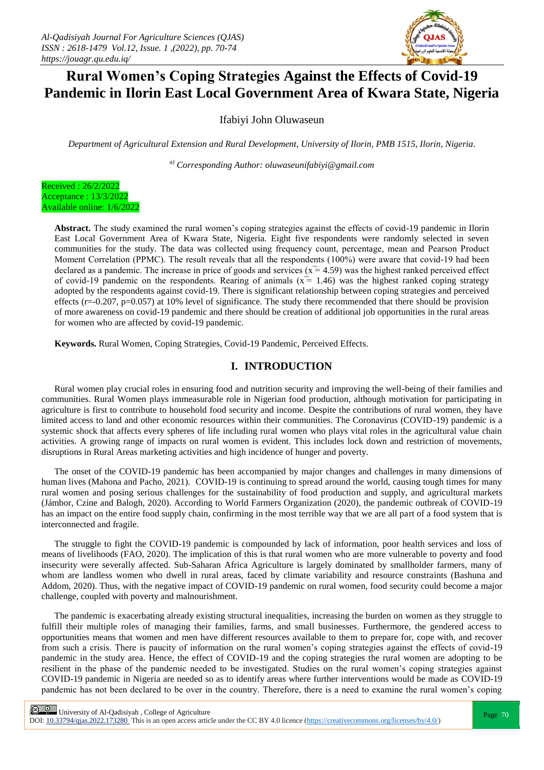

# **Rural Women's Coping Strategies Against the Effects of Covid-19 Pandemic in Ilorin East Local Government Area of Kwara State, Nigeria**

Ifabiyi John Oluwaseun

*Department of Agricultural Extension and Rural Development, University of Ilorin, PMB 1515, Ilorin, Nigeria.*

*a) Corresponding Author: oluwaseunifabiyi@gmail.com*



**Abstract.** The study examined the rural women's coping strategies against the effects of covid-19 pandemic in Ilorin East Local Government Area of Kwara State, Nigeria. Eight five respondents were randomly selected in seven communities for the study. The data was collected using frequency count, percentage, mean and Pearson Product Moment Correlation (PPMC). The result reveals that all the respondents  $(100\%)$  were aware that covid-19 had been declared as a pandemic. The increase in price of goods and services  $(x = 4.59)$  was the highest ranked perceived effect of covid-19 pandemic on the respondents. Rearing of animals  $(x = 1.46)$  was the highest ranked coping strategy adopted by the respondents against covid-19. There is significant relationship between coping strategies and perceived effects ( $r=-0.207$ ,  $p=0.057$ ) at 10% level of significance. The study there recommended that there should be provision of more awareness on covid-19 pandemic and there should be creation of additional job opportunities in the rural areas for women who are affected by covid-19 pandemic.

**Keywords.** Rural Women, Coping Strategies, Covid-19 Pandemic, Perceived Effects.

# **I. INTRODUCTION**

Rural women play crucial roles in ensuring food and nutrition security and improving the well-being of their families and communities. Rural Women plays immeasurable role in Nigerian food production, although motivation for participating in agriculture is first to contribute to household food security and income. Despite the contributions of rural women, they have limited access to land and other economic resources within their communities. The Coronavirus (COVID-19) pandemic is a systemic shock that affects every spheres of life including rural women who plays vital roles in the agricultural value chain activities. A growing range of impacts on rural women is evident. This includes lock down and restriction of movements, disruptions in Rural Areas marketing activities and high incidence of hunger and poverty.

The onset of the COVID-19 pandemic has been accompanied by major changes and challenges in many dimensions of human lives (Mahona and Pacho, 2021). COVID-19 is continuing to spread around the world, causing tough times for many rural women and posing serious challenges for the sustainability of food production and supply, and agricultural markets (Jámbor, Czine and Balogh, 2020). According to World Farmers Organization (2020), the pandemic outbreak of COVID-19 has an impact on the entire food supply chain, confirming in the most terrible way that we are all part of a food system that is interconnected and fragile.

The struggle to fight the COVID-19 pandemic is compounded by lack of information, poor health services and loss of means of livelihoods (FAO, 2020). The implication of this is that rural women who are more vulnerable to poverty and food insecurity were severally affected. Sub-Saharan Africa Agriculture is largely dominated by smallholder farmers, many of whom are landless women who dwell in rural areas, faced by climate variability and resource constraints (Bashuna and Addom, 2020). Thus, with the negative impact of COVID-19 pandemic on rural women, food security could become a major challenge, coupled with poverty and malnourishment.

The pandemic is exacerbating already existing structural inequalities, increasing the burden on women as they struggle to fulfill their multiple roles of managing their families, farms, and small businesses. Furthermore, the gendered access to opportunities means that women and men have different resources available to them to prepare for, cope with, and recover from such a crisis. There is paucity of information on the rural women's coping strategies against the effects of covid-19 pandemic in the study area. Hence, the effect of COVID-19 and the coping strategies the rural women are adopting to be resilient in the phase of the pandemic needed to be investigated. Studies on the rural women's coping strategies against COVID-19 pandemic in Nigeria are needed so as to identify areas where further interventions would be made as COVID-19 pandemic has not been declared to be over in the country. Therefore, there is a need to examine the rural women's coping

 $\frac{Q}{P}$  University of Al-Qadisiyah, College of Agriculture<br>  $\frac{Q}{P}$  Page 70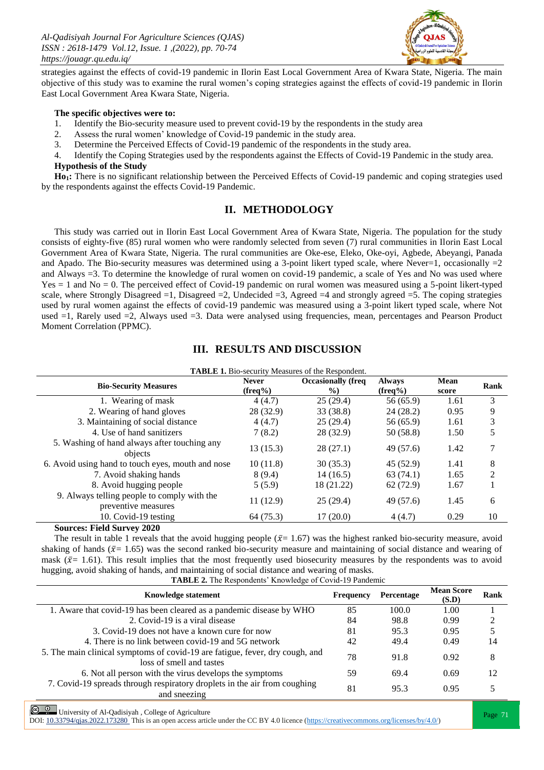

strategies against the effects of covid-19 pandemic in Ilorin East Local Government Area of Kwara State, Nigeria. The main objective of this study was to examine the rural women's coping strategies against the effects of covid-19 pandemic in Ilorin East Local Government Area Kwara State, Nigeria.

#### **The specific objectives were to:**

- 1. Identify the Bio-security measure used to prevent covid-19 by the respondents in the study area
- 2. Assess the rural women' knowledge of Covid-19 pandemic in the study area.
- 3. Determine the Perceived Effects of Covid-19 pandemic of the respondents in the study area.

4. Identify the Coping Strategies used by the respondents against the Effects of Covid-19 Pandemic in the study area. **Hypothesis of the Study**

Ho<sub>1</sub>: There is no significant relationship between the Perceived Effects of Covid-19 pandemic and coping strategies used by the respondents against the effects Covid-19 Pandemic.

# **II. METHODOLOGY**

This study was carried out in Ilorin East Local Government Area of Kwara State, Nigeria. The population for the study consists of eighty-five (85) rural women who were randomly selected from seven (7) rural communities in Ilorin East Local Government Area of Kwara State, Nigeria. The rural communities are Oke-ese, Eleko, Oke-oyi, Agbede, Abeyangi, Panada and Apado. The Bio-security measures was determined using a 3-point likert typed scale, where Never=1, occasionally  $=2$ and Always =3. To determine the knowledge of rural women on covid-19 pandemic, a scale of Yes and No was used where  $Yes = 1$  and  $No = 0$ . The perceived effect of Covid-19 pandemic on rural women was measured using a 5-point likert-typed scale, where Strongly Disagreed  $=1$ , Disagreed  $=2$ , Undecided  $=3$ , Agreed  $=4$  and strongly agreed  $=5$ . The coping strategies used by rural women against the effects of covid-19 pandemic was measured using a 3-point likert typed scale, where Not used =1, Rarely used =2, Always used =3. Data were analysed using frequencies, mean, percentages and Pearson Product Moment Correlation (PPMC).

| <b>TABLE 1.</b> Bio-security Measures of the Respondent. |                                      |                                    |                      |                |
|----------------------------------------------------------|--------------------------------------|------------------------------------|----------------------|----------------|
| <b>Never</b><br>$(\text{freq}\%)$                        | <b>Occasionally (freq)</b><br>$\%$ ) | <b>Always</b><br>$(\text{freq}\%)$ | <b>Mean</b><br>score | Rank           |
| 4(4.7)                                                   | 25(29.4)                             | 56 (65.9)                          | 1.61                 | 3              |
| 28 (32.9)                                                | 33 (38.8)                            | 24(28.2)                           | 0.95                 | 9              |
| 4(4.7)                                                   | 25(29.4)                             | 56 (65.9)                          | 1.61                 | 3              |
| 7(8.2)                                                   | 28 (32.9)                            | 50 (58.8)                          | 1.50                 | 5              |
| 13 (15.3)                                                | 28(27.1)                             | 49 (57.6)                          | 1.42                 |                |
| 10(11.8)                                                 | 30(35.3)                             | 45 (52.9)                          | 1.41                 | 8              |
| 8(9.4)                                                   | 14(16.5)                             | 63(74.1)                           | 1.65                 | $\mathfrak{D}$ |
| 5(5.9)                                                   | 18 (21.22)                           | 62 (72.9)                          | 1.67                 |                |
| 11(12.9)                                                 | 25(29.4)                             | 49 (57.6)                          | 1.45                 | 6              |
| 64(75.3)                                                 | 17(20.0)                             | 4(4.7)                             | 0.29                 | 10             |
|                                                          |                                      |                                    |                      |                |

## **III. RESULTS AND DISCUSSION**

**Sources: Field Survey 2020**

The result in table 1 reveals that the avoid hugging people  $(\bar{x}=1.67)$  was the highest ranked bio-security measure, avoid shaking of hands ( $\bar{x}$  = 1.65) was the second ranked bio-security measure and maintaining of social distance and wearing of mask ( $\bar{x}$  = 1.61). This result implies that the most frequently used biosecurity measures by the respondents was to avoid hugging, avoid shaking of hands, and maintaining of social distance and wearing of masks.

**TABLE 2.** The Respondents' Knowledge of Covid-19 Pandemic

| <b>Knowledge statement</b>                                                                               | <b>Frequency</b> | Percentage | <b>Mean Score</b><br>(S.D) | Rank |
|----------------------------------------------------------------------------------------------------------|------------------|------------|----------------------------|------|
| 1. Aware that covid-19 has been cleared as a pandemic disease by WHO                                     | 85               | 100.0      | 1.00                       |      |
| 2. Covid-19 is a viral disease                                                                           | 84               | 98.8       | 0.99                       |      |
| 3. Covid-19 does not have a known cure for now                                                           | 81               | 95.3       | 0.95                       |      |
| 4. There is no link between covid-19 and 5G network                                                      | 42               | 49.4       | 0.49                       | 14   |
| 5. The main clinical symptoms of covid-19 are fatigue, fever, dry cough, and<br>loss of smell and tastes | 78               | 91.8       | 0.92                       | 8    |
| 6. Not all person with the virus develops the symptoms                                                   | 59               | 69.4       | 0.69                       | 12   |
| 7. Covid-19 spreads through respiratory droplets in the air from coughing<br>and sneezing                | 81               | 95.3       | 0.95                       |      |

**Page 71**<br>Page 71 | University of Al-Qadisiyah, College of Agriculture<br>
Page 71 | Page 71 | Page 71 | Page 71 | Page 71 | Page 71 | Page 71 | Page 71 | Page 71 | Page 71 | Page 71 | Page 71 | Page 71 | Page 71 | Page 71 |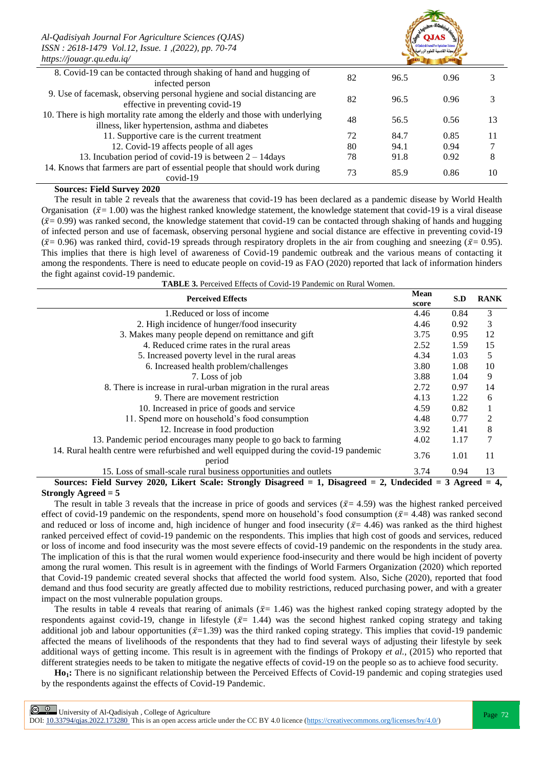| https://jouagr.qu.edu.iq/                                                                                                        |    |      |      |    |
|----------------------------------------------------------------------------------------------------------------------------------|----|------|------|----|
| 8. Covid-19 can be contacted through shaking of hand and hugging of<br>infected person                                           | 82 | 96.5 | 0.96 |    |
| 9. Use of facemask, observing personal hygiene and social distancing are<br>effective in preventing covid-19                     | 82 | 96.5 | 0.96 |    |
| 10. There is high mortality rate among the elderly and those with underlying<br>illness, liker hypertension, asthma and diabetes | 48 | 56.5 | 0.56 | 13 |
| 11. Supportive care is the current treatment                                                                                     | 72 | 84.7 | 0.85 | 11 |
| 12. Covid-19 affects people of all ages                                                                                          | 80 | 94.1 | 0.94 |    |
| 13. Incubation period of covid-19 is between $2 - 14$ days                                                                       | 78 | 91.8 | 0.92 | 8  |
| 14. Knows that farmers are part of essential people that should work during<br>$covid-19$                                        | 73 | 85.9 | 0.86 | 10 |

#### **Sources: Field Survey 2020**

The result in table 2 reveals that the awareness that covid-19 has been declared as a pandemic disease by World Health Organisation ( $\bar{x}$ = 1.00) was the highest ranked knowledge statement, the knowledge statement that covid-19 is a viral disease  $({\bar x}=0.99)$  was ranked second, the knowledge statement that covid-19 can be contacted through shaking of hands and hugging of infected person and use of facemask, observing personal hygiene and social distance are effective in preventing covid-19 ( $\bar{x}$ = 0.96) was ranked third, covid-19 spreads through respiratory droplets in the air from coughing and sneezing ( $\bar{x}$ = 0.95). This implies that there is high level of awareness of Covid-19 pandemic outbreak and the various means of contacting it among the respondents. There is need to educate people on covid-19 as FAO (2020) reported that lack of information hinders the fight against covid-19 pandemic.

| <b>TABLE 3.</b> Perceived Effects of Covid-19 Pandemic on Rural Women. |
|------------------------------------------------------------------------|
|------------------------------------------------------------------------|

| <b>Perceived Effects</b>                                                                                              |      | S.D  | <b>RANK</b> |
|-----------------------------------------------------------------------------------------------------------------------|------|------|-------------|
| 1.Reduced or loss of income                                                                                           | 4.46 | 0.84 | 3           |
| 2. High incidence of hunger/food insecurity                                                                           | 4.46 | 0.92 | 3           |
| 3. Makes many people depend on remittance and gift                                                                    | 3.75 | 0.95 | 12          |
| 4. Reduced crime rates in the rural areas                                                                             | 2.52 | 1.59 | 15          |
| 5. Increased poverty level in the rural areas                                                                         | 4.34 | 1.03 | 5           |
| 6. Increased health problem/challenges                                                                                | 3.80 | 1.08 | 10          |
| 7. Loss of job                                                                                                        | 3.88 | 1.04 | 9           |
| 8. There is increase in rural-urban migration in the rural areas                                                      | 2.72 | 0.97 | 14          |
| 9. There are movement restriction                                                                                     | 4.13 | 1.22 | 6           |
| 10. Increased in price of goods and service                                                                           | 4.59 | 0.82 |             |
| 11. Spend more on household's food consumption                                                                        | 4.48 | 0.77 | 2           |
| 12. Increase in food production                                                                                       | 3.92 | 1.41 | 8           |
| 13. Pandemic period encourages many people to go back to farming                                                      | 4.02 | 1.17 | 7           |
| 14. Rural health centre were refurbished and well equipped during the covid-19 pandemic<br>period                     | 3.76 | 1.01 | 11          |
| 15. Loss of small-scale rural business opportunities and outlets                                                      | 3.74 | 0.94 | 13          |
| Sources: Field Survey 2020, Likert Scale: Strongly Disagreed $= 1$ , Disagreed $= 2$ , Undecided $= 3$ Agreed $= 4$ , |      |      |             |

#### **Strongly Agreed = 5**

The result in table 3 reveals that the increase in price of goods and services ( $\bar{x}$ = 4.59) was the highest ranked perceived effect of covid-19 pandemic on the respondents, spend more on household's food consumption ( $\bar{x}$  = 4.48) was ranked second and reduced or loss of income and, high incidence of hunger and food insecurity ( $\bar{x}$  = 4.46) was ranked as the third highest ranked perceived effect of covid-19 pandemic on the respondents. This implies that high cost of goods and services, reduced or loss of income and food insecurity was the most severe effects of covid-19 pandemic on the respondents in the study area. The implication of this is that the rural women would experience food-insecurity and there would be high incident of poverty among the rural women. This result is in agreement with the findings of World Farmers Organization (2020) which reported that Covid-19 pandemic created several shocks that affected the world food system. Also, Siche (2020), reported that food demand and thus food security are greatly affected due to mobility restrictions, reduced purchasing power, and with a greater impact on the most vulnerable population groups.

The results in table 4 reveals that rearing of animals ( $\bar{x}$  = 1.46) was the highest ranked coping strategy adopted by the respondents against covid-19, change in lifestyle ( $\bar{x}$  = 1.44) was the second highest ranked coping strategy and taking additional job and labour opportunities ( $\bar{x}$ =1.39) was the third ranked coping strategy. This implies that covid-19 pandemic affected the means of livelihoods of the respondents that they had to find several ways of adjusting their lifestyle by seek additional ways of getting income. This result is in agreement with the findings of Prokopy *et al.*, (2015) who reported that different strategies needs to be taken to mitigate the negative effects of covid-19 on the people so as to achieve food security.

**Ho1:** There is no significant relationship between the Perceived Effects of Covid-19 pandemic and coping strategies used by the respondents against the effects of Covid-19 Pandemic.

Page 72 | University of Al-Qadisiyah , College of Agriculture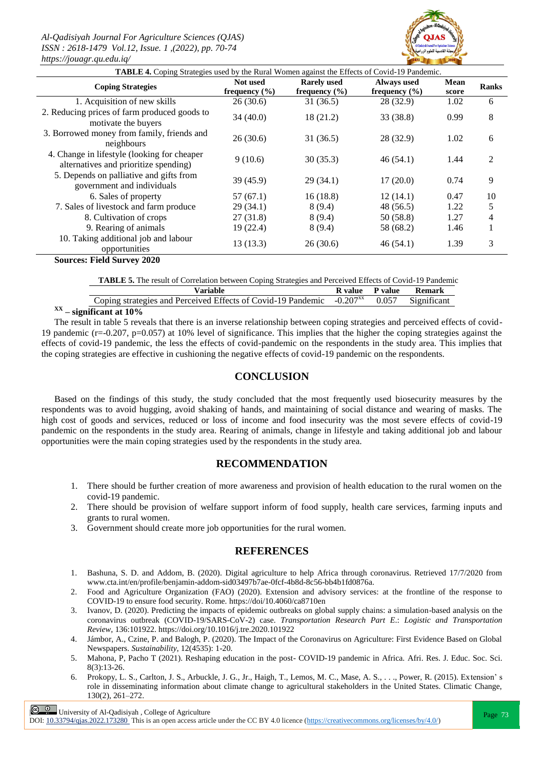*Al-Qadisiyah Journal For Agriculture Sciences (QJAS) ISSN : 2618-1479 Vol.12, Issue. 1 ,(2022), pp. 70-74 https://jouagr.qu.edu.iq/*



| $, p. , p.  \times n.$                                                                       |                               |                                         |                                         |               |              |
|----------------------------------------------------------------------------------------------|-------------------------------|-----------------------------------------|-----------------------------------------|---------------|--------------|
| TABLE 4. Coping Strategies used by the Rural Women against the Effects of Covid-19 Pandemic. |                               |                                         |                                         |               |              |
| <b>Coping Strategies</b>                                                                     | Not used<br>frequency $(\% )$ | <b>Rarely used</b><br>frequency $(\% )$ | <b>Always used</b><br>frequency $(\% )$ | Mean<br>score | <b>Ranks</b> |
| 1. Acquisition of new skills                                                                 | 26(30.6)                      | 31(36.5)                                | 28 (32.9)                               | 1.02          | 6            |
| 2. Reducing prices of farm produced goods to<br>motivate the buyers                          | 34(40.0)                      | 18(21.2)                                | 33 (38.8)                               | 0.99          | 8            |
| 3. Borrowed money from family, friends and<br>neighbours                                     | 26(30.6)                      | 31(36.5)                                | 28 (32.9)                               | 1.02          | 6            |
| 4. Change in lifestyle (looking for cheaper<br>alternatives and prioritize spending)         | 9(10.6)                       | 30(35.3)                                | 46(54.1)                                | 1.44          | 2            |
| 5. Depends on palliative and gifts from<br>government and individuals                        | 39(45.9)                      | 29(34.1)                                | 17(20.0)                                | 0.74          | 9            |
| 6. Sales of property                                                                         | 57(67.1)                      | 16(18.8)                                | 12(14.1)                                | 0.47          | 10           |
| 7. Sales of livestock and farm produce                                                       | 29(34.1)                      | 8(9.4)                                  | 48 (56.5)                               | 1.22          | 5            |
| 8. Cultivation of crops                                                                      | 27 (31.8)                     | 8(9.4)                                  | 50(58.8)                                | 1.27          | 4            |
| 9. Rearing of animals                                                                        | 19 (22.4)                     | 8(9.4)                                  | 58 (68.2)                               | 1.46          |              |
| 10. Taking additional job and labour<br>opportunities                                        | 13(13.3)                      | 26(30.6)                                | 46(54.1)                                | 1.39          | 3            |

**Sources: Field Survey 2020**

|  | TABLE 5. The result of Correlation between Coping Strategies and Perceived Effects of Covid-19 Pandemic |
|--|---------------------------------------------------------------------------------------------------------|
|--|---------------------------------------------------------------------------------------------------------|

| Variable                                                                                            | R value | P value | Remark |
|-----------------------------------------------------------------------------------------------------|---------|---------|--------|
| Coping strategies and Perceived Effects of Covid-19 Pandemic -0.207 <sup>xx</sup> 0.057 Significant |         |         |        |
|                                                                                                     |         |         |        |

## **XX – significant at 10%**

The result in table 5 reveals that there is an inverse relationship between coping strategies and perceived effects of covid-19 pandemic (r=-0.207, p=0.057) at 10% level of significance. This implies that the higher the coping strategies against the effects of covid-19 pandemic, the less the effects of covid-pandemic on the respondents in the study area. This implies that the coping strategies are effective in cushioning the negative effects of covid-19 pandemic on the respondents.

## **CONCLUSION**

Based on the findings of this study, the study concluded that the most frequently used biosecurity measures by the respondents was to avoid hugging, avoid shaking of hands, and maintaining of social distance and wearing of masks. The high cost of goods and services, reduced or loss of income and food insecurity was the most severe effects of covid-19 pandemic on the respondents in the study area. Rearing of animals, change in lifestyle and taking additional job and labour opportunities were the main coping strategies used by the respondents in the study area.

## **RECOMMENDATION**

- 1. There should be further creation of more awareness and provision of health education to the rural women on the covid-19 pandemic.
- 2. There should be provision of welfare support inform of food supply, health care services, farming inputs and grants to rural women.
- 3. Government should create more job opportunities for the rural women.

## **REFERENCES**

- 1. Bashuna, S. D. and Addom, B. (2020). Digital agriculture to help Africa through coronavirus. Retrieved 17/7/2020 from [www.cta.int/en/profile/benjamin-addom-sid03497b7ae-0fcf-4b8d-8c56-bb4b1fd0876a.](http://www.cta.int/en/profile/benjamin-addom-sid03497b7ae-0fcf-4b8d-8c56-bb4b1fd0876a)
- 2. Food and Agriculture Organization (FAO) (2020). Extension and advisory services: at the frontline of the response to COVID-19 to ensure food security. Rome.<https://doi/10.4060/ca8710en>
- 3. Ivanov, D. (2020). Predicting the impacts of epidemic outbreaks on global supply chains: a simulation-based analysis on the coronavirus outbreak (COVID-19/SARS-CoV-2) case. *Transportation Research Part E*.: *Logistic and Transportation Review,* 136:101922[. https://doi.org/10.1016/j.tre.2020.101922](https://doi.org/10.1016/j.tre.2020.101922)
- 4. Jámbor, A., Czine, P. and Balogh, P. (2020). The Impact of the Coronavirus on Agriculture: First Evidence Based on Global Newspapers. *Sustainability*, 12(4535): 1-20.
- 5. Mahona, P, Pacho T (2021). Reshaping education in the post- COVID-19 pandemic in Africa. Afri. Res. J. Educ. Soc. Sci. 8(3):13-26.
- 6. Prokopy, L. S., Carlton, J. S., Arbuckle, J. G., Jr., Haigh, T., Lemos, M. C., Mase, A. S., . . ., Power, R. (2015). Extension' s role in disseminating information about climate change to agricultural stakeholders in the United States. Climatic Change, 130(2), 261–272.

 $\boxed{\odot}$   $\odot$  University of Al-Qadisiyah, College of Agriculture<br>  $\boxed{\qquad}$  Page 73